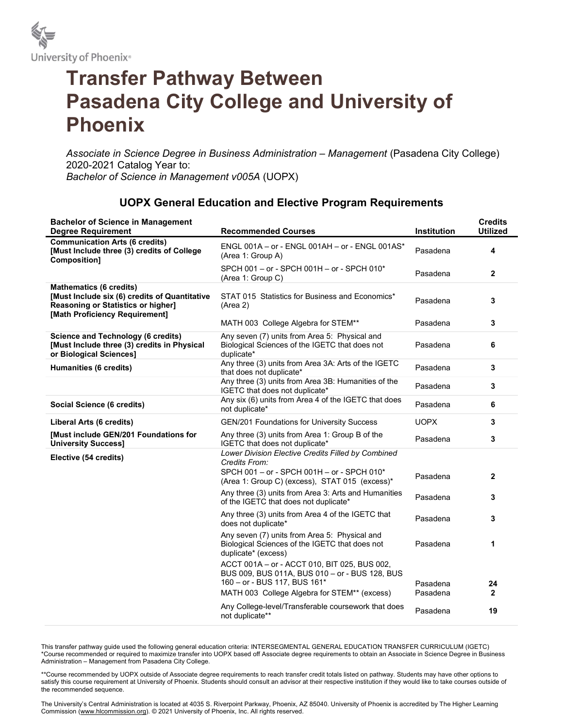

## Transfer Pathway Between Pasadena City College and University of Phoenix

Associate in Science Degree in Business Administration – Management (Pasadena City College) 2020-2021 Catalog Year to: Bachelor of Science in Management v005A (UOPX)

## UOPX General Education and Elective Program Requirements

| <b>Bachelor of Science in Management</b><br><b>Degree Requirement</b>                                                                                          | <b>Recommended Courses</b>                                                                                                     | <b>Institution</b> | <b>Credits</b><br><b>Utilized</b> |
|----------------------------------------------------------------------------------------------------------------------------------------------------------------|--------------------------------------------------------------------------------------------------------------------------------|--------------------|-----------------------------------|
| <b>Communication Arts (6 credits)</b><br>[Must Include three (3) credits of College<br>Composition]                                                            | ENGL 001A - or - ENGL 001AH - or - ENGL 001AS*<br>(Area 1: Group A)                                                            | Pasadena           | 4                                 |
|                                                                                                                                                                | SPCH 001 - or - SPCH 001H - or - SPCH 010*<br>(Area 1: Group C)                                                                | Pasadena           | $\mathbf{2}$                      |
| <b>Mathematics (6 credits)</b><br>[Must Include six (6) credits of Quantitative<br><b>Reasoning or Statistics or higher]</b><br>[Math Proficiency Requirement] | STAT 015 Statistics for Business and Economics*<br>(Area 2)                                                                    | Pasadena           | 3                                 |
|                                                                                                                                                                | MATH 003 College Algebra for STEM**                                                                                            | Pasadena           | 3                                 |
| <b>Science and Technology (6 credits)</b><br>[Must Include three (3) credits in Physical<br>or Biological Sciences]                                            | Any seven (7) units from Area 5: Physical and<br>Biological Sciences of the IGETC that does not<br>duplicate*                  | Pasadena           | 6                                 |
| Humanities (6 credits)                                                                                                                                         | Any three (3) units from Area 3A: Arts of the IGETC<br>that does not duplicate*                                                | Pasadena           | 3                                 |
|                                                                                                                                                                | Any three (3) units from Area 3B: Humanities of the<br>IGETC that does not duplicate*                                          | Pasadena           | 3                                 |
| Social Science (6 credits)                                                                                                                                     | Any six (6) units from Area 4 of the IGETC that does<br>not duplicate*                                                         | Pasadena           | 6                                 |
| Liberal Arts (6 credits)                                                                                                                                       | GEN/201 Foundations for University Success                                                                                     | <b>UOPX</b>        | 3                                 |
| <b>[Must include GEN/201 Foundations for</b><br><b>University Success]</b>                                                                                     | Any three (3) units from Area 1: Group B of the<br>IGETC that does not duplicate*                                              | Pasadena           | 3                                 |
| Elective (54 credits)                                                                                                                                          | Lower Division Elective Credits Filled by Combined<br>Credits From:                                                            |                    |                                   |
|                                                                                                                                                                | SPCH 001 - or - SPCH 001H - or - SPCH 010*<br>(Area 1: Group C) (excess), STAT 015 (excess)*                                   | Pasadena           | $\mathbf{2}$                      |
|                                                                                                                                                                | Any three (3) units from Area 3: Arts and Humanities<br>of the IGETC that does not duplicate*                                  | Pasadena           | 3                                 |
|                                                                                                                                                                | Any three (3) units from Area 4 of the IGETC that<br>does not duplicate*                                                       | Pasadena           | 3                                 |
|                                                                                                                                                                | Any seven (7) units from Area 5: Physical and<br>Biological Sciences of the IGETC that does not<br>duplicate* (excess)         | Pasadena           | 1                                 |
|                                                                                                                                                                | ACCT 001A - or - ACCT 010, BIT 025, BUS 002,<br>BUS 009, BUS 011A, BUS 010 - or - BUS 128, BUS<br>160 - or - BUS 117, BUS 161* | Pasadena           | 24                                |
|                                                                                                                                                                | MATH 003 College Algebra for STEM** (excess)                                                                                   | Pasadena           | $\mathbf{2}$                      |
|                                                                                                                                                                | Any College-level/Transferable coursework that does<br>not duplicate**                                                         | Pasadena           | 19                                |

This transfer pathway guide used the following general education criteria: INTERSEGMENTAL GENERAL EDUCATION TRANSFER CURRICULUM (IGETC) \*Course recommended or required to maximize transfer into UOPX based off Associate degree requirements to obtain an Associate in Science Degree in Business Administration – Management from Pasadena City College.

\*\*Course recommended by UOPX outside of Associate degree requirements to reach transfer credit totals listed on pathway. Students may have other options to satisfy this course requirement at University of Phoenix. Students should consult an advisor at their respective institution if they would like to take courses outside of the recommended sequence.

The University's Central Administration is located at 4035 S. Riverpoint Parkway, Phoenix, AZ 85040. University of Phoenix is accredited by The Higher Learning Commission (www.hlcommission.org). © 2021 University of Phoenix, Inc. All rights reserved.